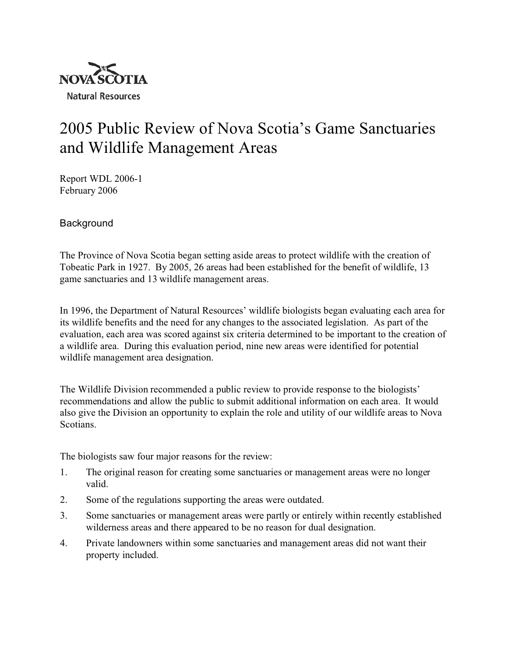

# 2005 Public Review of Nova Scotia's Game Sanctuaries and Wildlife Management Areas

Report WDL 2006-1 February 2006

**Background** 

The Province of Nova Scotia began setting aside areas to protect wildlife with the creation of Tobeatic Park in 1927. By 2005, 26 areas had been established for the benefit of wildlife, 13 game sanctuaries and 13 wildlife management areas.

In 1996, the Department of Natural Resources' wildlife biologists began evaluating each area for its wildlife benefits and the need for any changes to the associated legislation. As part of the evaluation, each area was scored against six criteria determined to be important to the creation of a wildlife area. During this evaluation period, nine new areas were identified for potential wildlife management area designation.

The Wildlife Division recommended a public review to provide response to the biologists' recommendations and allow the public to submit additional information on each area. It would also give the Division an opportunity to explain the role and utility of our wildlife areas to Nova Scotians.

The biologists saw four major reasons for the review:

- 1. The original reason for creating some sanctuaries or management areas were no longer valid.
- 2. Some of the regulations supporting the areas were outdated.
- 3. Some sanctuaries or management areas were partly or entirely within recently established wilderness areas and there appeared to be no reason for dual designation.
- 4. Private landowners within some sanctuaries and management areas did not want their property included.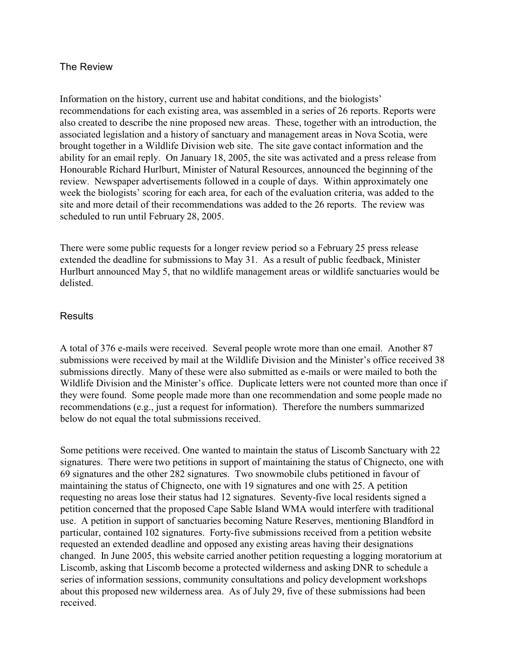#### The Review

Information on the history, current use and habitat conditions, and the biologists' recommendations for each existing area, was assembled in a series of 26 reports. Reports were also created to describe the nine proposed new areas. These, together with an introduction, the associated legislation and a history of sanctuary and management areas in Nova Scotia, were brought together in a Wildlife Division web site. The site gave contact information and the ability for an email reply. On January 18, 2005, the site was activated and a press release from Honourable Richard Hurlburt, Minister of Natural Resources, announced the beginning of the review. Newspaper advertisements followed in a couple of days. Within approximately one week the biologists' scoring for each area, for each of the evaluation criteria, was added to the site and more detail of their recommendations was added to the 26 reports. The review was scheduled to run until February 28, 2005.

There were some public requests for a longer review period so a February 25 press release extended the deadline for submissions to May 31. As a result of public feedback, Minister Hurlburt announced May 5, that no wildlife management areas or wildlife sanctuaries would be delisted.

### **Results**

A total of 376 e-mails were received. Several people wrote more than one email. Another 87 submissions were received by mail at the Wildlife Division and the Minister's office received 38 submissions directly. Many of these were also submitted as e-mails or were mailed to both the Wildlife Division and the Minister's office. Duplicate letters were not counted more than once if they were found. Some people made more than one recommendation and some people made no recommendations (e.g., just a request for information). Therefore the numbers summarized below do not equal the total submissions received.

Some petitions were received. One wanted to maintain the status of Liscomb Sanctuary with 22 signatures. There were two petitions in support of maintaining the status of Chignecto, one with 69 signatures and the other 282 signatures. Two snowmobile clubs petitioned in favour of maintaining the status of Chignecto, one with 19 signatures and one with 25. A petition requesting no areas lose their status had 12 signatures. Seventy-five local residents signed a petition concerned that the proposed Cape Sable Island WMA would interfere with traditional use. A petition in support of sanctuaries becoming Nature Reserves, mentioning Blandford in particular, contained 102 signatures. Forty-five submissions received from a petition website requested an extended deadline and opposed any existing areas having their designations changed. In June 2005, this website carried another petition requesting a logging moratorium at Liscomb, asking that Liscomb become a protected wilderness and asking DNR to schedule a series of information sessions, community consultations and policy development workshops about this proposed new wilderness area. As of July 29, five of these submissions had been received.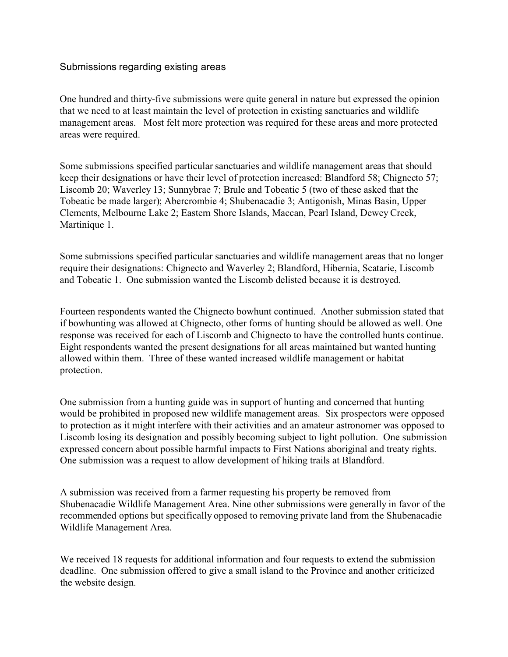### Submissions regarding existing areas

One hundred and thirty-five submissions were quite general in nature but expressed the opinion that we need to at least maintain the level of protection in existing sanctuaries and wildlife management areas. Most felt more protection was required for these areas and more protected areas were required.

Some submissions specified particular sanctuaries and wildlife management areas that should keep their designations or have their level of protection increased: Blandford 58; Chignecto 57; Liscomb 20; Waverley 13; Sunnybrae 7; Brule and Tobeatic 5 (two of these asked that the Tobeatic be made larger); Abercrombie 4; Shubenacadie 3; Antigonish, Minas Basin, Upper Clements, Melbourne Lake 2; Eastern Shore Islands, Maccan, Pearl Island, Dewey Creek, Martinique 1.

Some submissions specified particular sanctuaries and wildlife management areas that no longer require their designations: Chignecto and Waverley 2; Blandford, Hibernia, Scatarie, Liscomb and Tobeatic 1. One submission wanted the Liscomb delisted because it is destroyed.

Fourteen respondents wanted the Chignecto bowhunt continued. Another submission stated that if bowhunting was allowed at Chignecto, other forms of hunting should be allowed as well. One response was received for each of Liscomb and Chignecto to have the controlled hunts continue. Eight respondents wanted the present designations for all areas maintained but wanted hunting allowed within them. Three of these wanted increased wildlife management or habitat protection.

One submission from a hunting guide was in support of hunting and concerned that hunting would be prohibited in proposed new wildlife management areas. Six prospectors were opposed to protection as it might interfere with their activities and an amateur astronomer was opposed to Liscomb losing its designation and possibly becoming subject to light pollution. One submission expressed concern about possible harmful impacts to First Nations aboriginal and treaty rights. One submission was a request to allow development of hiking trails at Blandford.

A submission was received from a farmer requesting his property be removed from Shubenacadie Wildlife Management Area. Nine other submissions were generally in favor of the recommended options but specifically opposed to removing private land from the Shubenacadie Wildlife Management Area.

We received 18 requests for additional information and four requests to extend the submission deadline. One submission offered to give a small island to the Province and another criticized the website design.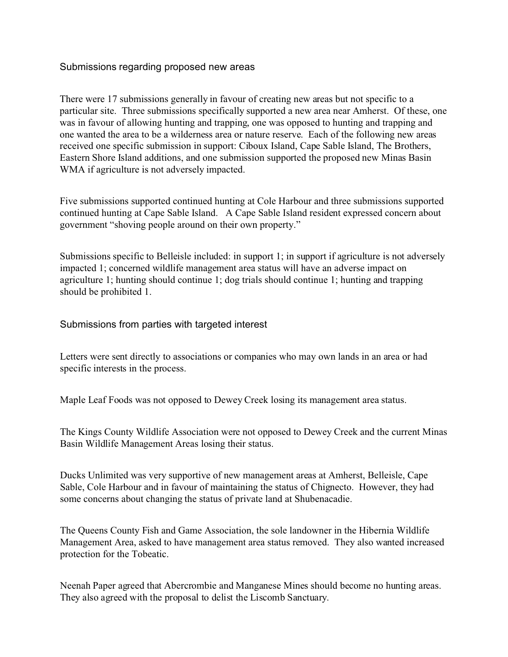### Submissions regarding proposed new areas

There were 17 submissions generally in favour of creating new areas but not specific to a particular site. Three submissions specifically supported a new area near Amherst. Of these, one was in favour of allowing hunting and trapping, one was opposed to hunting and trapping and one wanted the area to be a wilderness area or nature reserve. Each of the following new areas received one specific submission in support: Ciboux Island, Cape Sable Island, The Brothers, Eastern Shore Island additions, and one submission supported the proposed new Minas Basin WMA if agriculture is not adversely impacted.

Five submissions supported continued hunting at Cole Harbour and three submissions supported continued hunting at Cape Sable Island. A Cape Sable Island resident expressed concern about government "shoving people around on their own property."

Submissions specific to Belleisle included: in support 1; in support if agriculture is not adversely impacted 1; concerned wildlife management area status will have an adverse impact on agriculture 1; hunting should continue 1; dog trials should continue 1; hunting and trapping should be prohibited 1.

#### Submissions from parties with targeted interest

Letters were sent directly to associations or companies who may own lands in an area or had specific interests in the process.

Maple Leaf Foods was not opposed to Dewey Creek losing its management area status.

The Kings County Wildlife Association were not opposed to Dewey Creek and the current Minas Basin Wildlife Management Areas losing their status.

Ducks Unlimited was very supportive of new management areas at Amherst, Belleisle, Cape Sable, Cole Harbour and in favour of maintaining the status of Chignecto. However, they had some concerns about changing the status of private land at Shubenacadie.

The Queens County Fish and Game Association, the sole landowner in the Hibernia Wildlife Management Area, asked to have management area status removed. They also wanted increased protection for the Tobeatic.

Neenah Paper agreed that Abercrombie and Manganese Mines should become no hunting areas. They also agreed with the proposal to delist the Liscomb Sanctuary.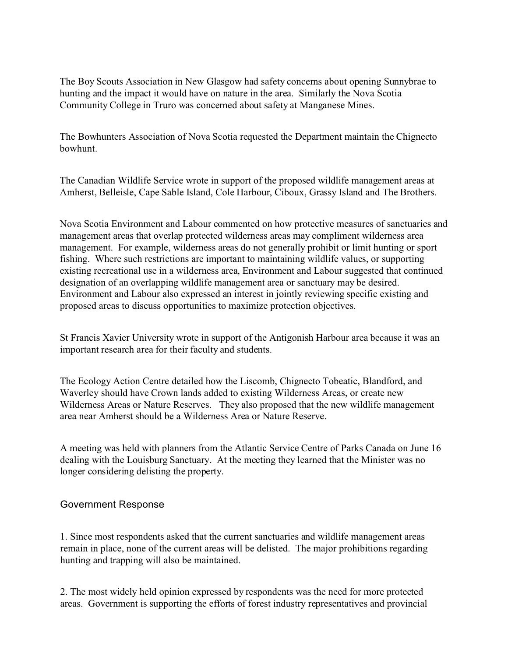The Boy Scouts Association in New Glasgow had safety concerns about opening Sunnybrae to hunting and the impact it would have on nature in the area. Similarly the Nova Scotia Community College in Truro was concerned about safety at Manganese Mines.

The Bowhunters Association of Nova Scotia requested the Department maintain the Chignecto bowhunt.

The Canadian Wildlife Service wrote in support of the proposed wildlife management areas at Amherst, Belleisle, Cape Sable Island, Cole Harbour, Ciboux, Grassy Island and The Brothers.

Nova Scotia Environment and Labour commented on how protective measures of sanctuaries and management areas that overlap protected wilderness areas may compliment wilderness area management. For example, wilderness areas do not generally prohibit or limit hunting or sport fishing. Where such restrictions are important to maintaining wildlife values, or supporting existing recreational use in a wilderness area, Environment and Labour suggested that continued designation of an overlapping wildlife management area or sanctuary may be desired. Environment and Labour also expressed an interest in jointly reviewing specific existing and proposed areas to discuss opportunities to maximize protection objectives.

St Francis Xavier University wrote in support of the Antigonish Harbour area because it was an important research area for their faculty and students.

The Ecology Action Centre detailed how the Liscomb, Chignecto Tobeatic, Blandford, and Waverley should have Crown lands added to existing Wilderness Areas, or create new Wilderness Areas or Nature Reserves. They also proposed that the new wildlife management area near Amherst should be a Wilderness Area or Nature Reserve.

A meeting was held with planners from the Atlantic Service Centre of Parks Canada on June 16 dealing with the Louisburg Sanctuary. At the meeting they learned that the Minister was no longer considering delisting the property.

## Government Response

1. Since most respondents asked that the current sanctuaries and wildlife management areas remain in place, none of the current areas will be delisted. The major prohibitions regarding hunting and trapping will also be maintained.

2. The most widely held opinion expressed by respondents was the need for more protected areas. Government is supporting the efforts of forest industry representatives and provincial